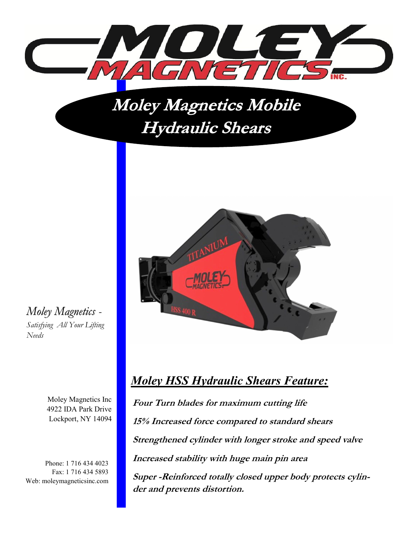

### **Moley Magnetics Mobile Hydraulic Shears**



*Moley Magnetics - Satisfying All Your Lifting Needs*

> Moley Magnetics Inc 4922 IDA Park Drive Lockport, NY 14094

Phone: 1 716 434 4023 Fax: 1 716 434 5893 Web: moleymagneticsinc.com

### *Moley HSS Hydraulic Shears Feature:*

**Four Turn blades for maximum cutting life 15% Increased force compared to standard shears Strengthened cylinder with longer stroke and speed valve Increased stability with huge main pin area Super -Reinforced totally closed upper body protects cylinder and prevents distortion.**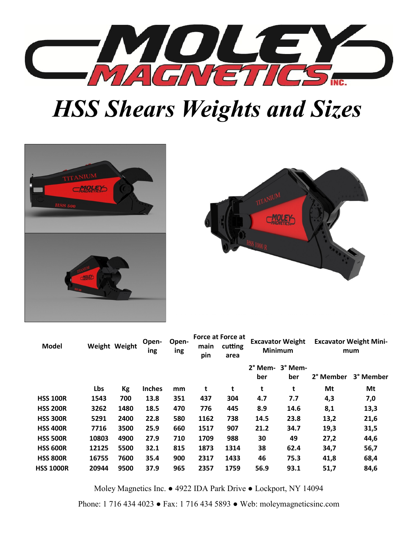

# *HSS Shears Weights and Sizes*





| <b>Model</b>     |       | Weight Weight | Open-<br>ing  | Open-<br>ing | main<br>pin | <b>Force at Force at</b><br>cutting<br>area | <b>Excavator Weight</b><br><b>Minimum</b> |                | <b>Excavator Weight Mini-</b><br>mum |           |
|------------------|-------|---------------|---------------|--------------|-------------|---------------------------------------------|-------------------------------------------|----------------|--------------------------------------|-----------|
|                  |       |               |               |              |             |                                             | 2° Mem-<br>ber                            | 3° Mem-<br>ber | 2° Member                            | 3° Member |
|                  | Lbs   | Kg            | <b>Inches</b> | mm           | t           | t                                           | t                                         | t              | Mt                                   | Mt        |
| <b>HSS 100R</b>  | 1543  | 700           | 13.8          | 351          | 437         | 304                                         | 4.7                                       | 7.7            | 4,3                                  | 7,0       |
| <b>HSS 200R</b>  | 3262  | 1480          | 18.5          | 470          | 776         | 445                                         | 8.9                                       | 14.6           | 8,1                                  | 13,3      |
| <b>HSS 300R</b>  | 5291  | 2400          | 22.8          | 580          | 1162        | 738                                         | 14.5                                      | 23.8           | 13,2                                 | 21,6      |
| <b>HSS 400R</b>  | 7716  | 3500          | 25.9          | 660          | 1517        | 907                                         | 21.2                                      | 34.7           | 19,3                                 | 31,5      |
| <b>HSS 500R</b>  | 10803 | 4900          | 27.9          | 710          | 1709        | 988                                         | 30                                        | 49             | 27,2                                 | 44,6      |
| <b>HSS 600R</b>  | 12125 | 5500          | 32.1          | 815          | 1873        | 1314                                        | 38                                        | 62.4           | 34,7                                 | 56,7      |
| <b>HSS 800R</b>  | 16755 | 7600          | 35.4          | 900          | 2317        | 1433                                        | 46                                        | 75.3           | 41,8                                 | 68,4      |
| <b>HSS 1000R</b> | 20944 | 9500          | 37.9          | 965          | 2357        | 1759                                        | 56.9                                      | 93.1           | 51,7                                 | 84,6      |

Moley Magnetics Inc. ● 4922 IDA Park Drive ● Lockport, NY 14094

Phone: 1 716 434 4023 ● Fax: 1 716 434 5893 ● Web: moleymagneticsinc.com